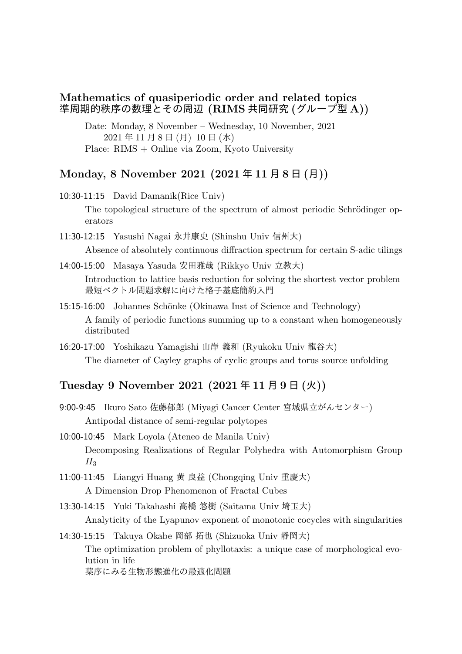## **Mathematics of quasiperiodic order and related topics** 準周期的秩序の数理とその周辺 **(RIMS** 共同研究 **(**グループ型 **A))**

Date: Monday, 8 November – Wednesday, 10 November, 2021 2021 年 11 月 8 日 (月)–10 日 (水) Place: RIMS + Online via Zoom, Kyoto University

## **Monday, 8 November 2021 (2021** 年 **11** 月 **8** 日 **(**月**))**

10:30-11:15 David Damanik(Rice Univ)

The topological structure of the spectrum of almost periodic Schrödinger operators

11:30-12:15 Yasushi Nagai 永井康史 (Shinshu Univ 信州大)

Absence of absolutely continuous diffraction spectrum for certain S-adic tilings

14:00-15:00 Masaya Yasuda 安田雅哉 (Rikkyo Univ 立教大)

Introduction to lattice basis reduction for solving the shortest vector problem 最短ベクトル問題求解に向けた格子基底簡約入門

- 15:15-16:00 Johannes Schönke (Okinawa Inst of Science and Technology) A family of periodic functions summing up to a constant when homogeneously distributed
- 16:20-17:00 Yoshikazu Yamagishi 山岸 義和 (Ryukoku Univ 龍谷大) The diameter of Cayley graphs of cyclic groups and torus source unfolding

## **Tuesday 9 November 2021 (2021** 年 **11** 月 **9** 日 **(**火**))**

9:00-9:45 Ikuro Sato 佐藤郁郎 (Miyagi Cancer Center 宮城県立がんセンター) Antipodal distance of semi-regular polytopes

10:00-10:45 Mark Loyola (Ateneo de Manila Univ) Decomposing Realizations of Regular Polyhedra with Automorphism Group  $H_3$ 

11:00-11:45 Liangyi Huang 黄 良益 (Chongqing Univ 重慶大) A Dimension Drop Phenomenon of Fractal Cubes

13:30-14:15 Yuki Takahashi 高橋 悠樹 (Saitama Univ 埼玉大) Analyticity of the Lyapunov exponent of monotonic cocycles with singularities

14:30-15:15 Takuya Okabe 岡部 拓也 (Shizuoka Univ 静岡大) The optimization problem of phyllotaxis: a unique case of morphological evolution in life 葉序にみる生物形態進化の最適化問題